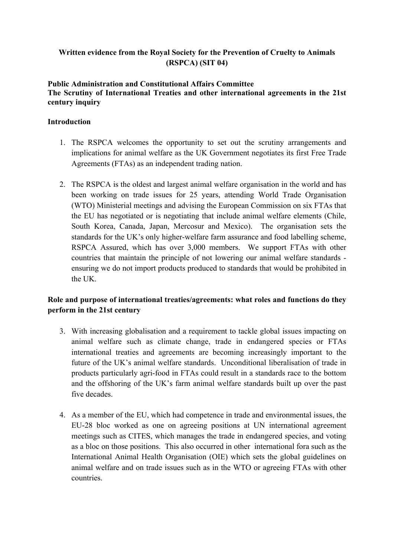# **Written evidence from the Royal Society for the Prevention of Cruelty to Animals (RSPCA) (SIT 04)**

#### **Public Administration and Constitutional Affairs Committee The Scrutiny of International Treaties and other international agreements in the 21st century inquiry**

## **Introduction**

- 1. The RSPCA welcomes the opportunity to set out the scrutiny arrangements and implications for animal welfare as the UK Government negotiates its first Free Trade Agreements (FTAs) as an independent trading nation.
- 2. The RSPCA is the oldest and largest animal welfare organisation in the world and has been working on trade issues for 25 years, attending World Trade Organisation (WTO) Ministerial meetings and advising the European Commission on six FTAs that the EU has negotiated or is negotiating that include animal welfare elements (Chile, South Korea, Canada, Japan, Mercosur and Mexico). The organisation sets the standards for the UK's only higher-welfare farm assurance and food labelling scheme, RSPCA Assured, which has over 3,000 members. We support FTAs with other countries that maintain the principle of not lowering our animal welfare standards ensuring we do not import products produced to standards that would be prohibited in the UK.

# **Role and purpose of international treaties/agreements: what roles and functions do they perform in the 21st century**

- 3. With increasing globalisation and a requirement to tackle global issues impacting on animal welfare such as climate change, trade in endangered species or FTAs international treaties and agreements are becoming increasingly important to the future of the UK's animal welfare standards. Unconditional liberalisation of trade in products particularly agri-food in FTAs could result in a standards race to the bottom and the offshoring of the UK's farm animal welfare standards built up over the past five decades.
- 4. As a member of the EU, which had competence in trade and environmental issues, the EU-28 bloc worked as one on agreeing positions at UN international agreement meetings such as CITES, which manages the trade in endangered species, and voting as a bloc on those positions. This also occurred in other international fora such as the International Animal Health Organisation (OIE) which sets the global guidelines on animal welfare and on trade issues such as in the WTO or agreeing FTAs with other countries.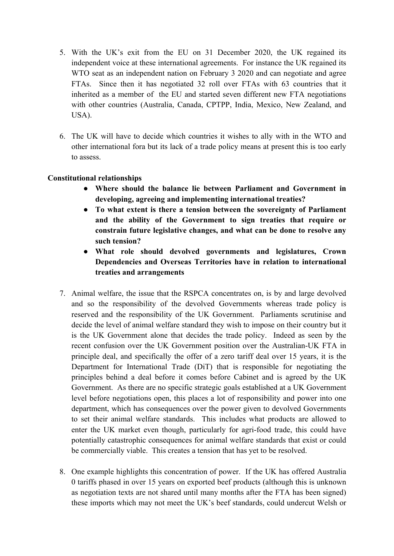- 5. With the UK's exit from the EU on 31 December 2020, the UK regained its independent voice at these international agreements. For instance the UK regained its WTO seat as an independent nation on February 3 2020 and can negotiate and agree FTAs. Since then it has negotiated 32 roll over FTAs with 63 countries that it inherited as a member of the EU and started seven different new FTA negotiations with other countries (Australia, Canada, CPTPP, India, Mexico, New Zealand, and USA).
- 6. The UK will have to decide which countries it wishes to ally with in the WTO and other international fora but its lack of a trade policy means at present this is too early to assess.

## **Constitutional relationships**

- **Where should the balance lie between Parliament and Government in developing, agreeing and implementing international treaties?**
- **To what extent is there a tension between the sovereignty of Parliament and the ability of the Government to sign treaties that require or constrain future legislative changes, and what can be done to resolve any such tension?**
- **What role should devolved governments and legislatures, Crown Dependencies and Overseas Territories have in relation to international treaties and arrangements**
- 7. Animal welfare, the issue that the RSPCA concentrates on, is by and large devolved and so the responsibility of the devolved Governments whereas trade policy is reserved and the responsibility of the UK Government. Parliaments scrutinise and decide the level of animal welfare standard they wish to impose on their country but it is the UK Government alone that decides the trade policy. Indeed as seen by the recent confusion over the UK Government position over the Australian-UK FTA in principle deal, and specifically the offer of a zero tariff deal over 15 years, it is the Department for International Trade (DiT) that is responsible for negotiating the principles behind a deal before it comes before Cabinet and is agreed by the UK Government. As there are no specific strategic goals established at a UK Government level before negotiations open, this places a lot of responsibility and power into one department, which has consequences over the power given to devolved Governments to set their animal welfare standards. This includes what products are allowed to enter the UK market even though, particularly for agri-food trade, this could have potentially catastrophic consequences for animal welfare standards that exist or could be commercially viable. This creates a tension that has yet to be resolved.
- 8. One example highlights this concentration of power. If the UK has offered Australia 0 tariffs phased in over 15 years on exported beef products (although this is unknown as negotiation texts are not shared until many months after the FTA has been signed) these imports which may not meet the UK's beef standards, could undercut Welsh or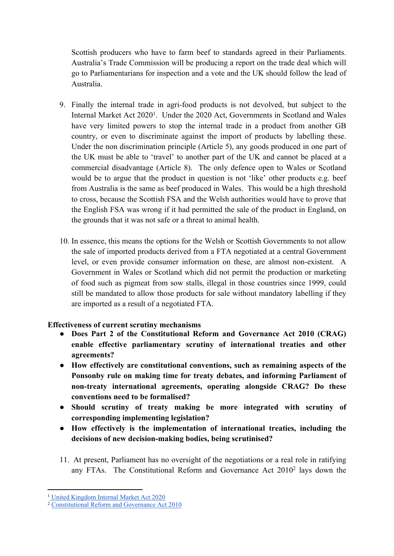Scottish producers who have to farm beef to standards agreed in their Parliaments. Australia's Trade Commission will be producing a report on the trade deal which will go to Parliamentarians for inspection and a vote and the UK should follow the lead of Australia.

- 9. Finally the internal trade in agri-food products is not devolved, but subject to the Internal Market Act 2020<sup>1</sup>. Under the 2020 Act, Governments in Scotland and Wales have very limited powers to stop the internal trade in a product from another GB country, or even to discriminate against the import of products by labelling these. Under the non discrimination principle (Article 5), any goods produced in one part of the UK must be able to 'travel' to another part of the UK and cannot be placed at a commercial disadvantage (Article 8). The only defence open to Wales or Scotland would be to argue that the product in question is not 'like' other products e.g. beef from Australia is the same as beef produced in Wales. This would be a high threshold to cross, because the Scottish FSA and the Welsh authorities would have to prove that the English FSA was wrong if it had permitted the sale of the product in England, on the grounds that it was not safe or a threat to animal health.
- 10. In essence, this means the options for the Welsh or Scottish Governments to not allow the sale of imported products derived from a FTA negotiated at a central Government level, or even provide consumer information on these, are almost non-existent. A Government in Wales or Scotland which did not permit the production or marketing of food such as pigmeat from sow stalls, illegal in those countries since 1999, could still be mandated to allow those products for sale without mandatory labelling if they are imported as a result of a negotiated FTA.

## **Effectiveness of current scrutiny mechanisms**

- **Does Part 2 of the Constitutional Reform and Governance Act 2010 (CRAG) enable effective parliamentary scrutiny of international treaties and other agreements?**
- **How effectively are constitutional conventions, such as remaining aspects of the Ponsonby rule on making time for treaty debates, and informing Parliament of non-treaty international agreements, operating alongside CRAG? Do these conventions need to be formalised?**
- **Should scrutiny of treaty making be more integrated with scrutiny of corresponding implementing legislation?**
- **How effectively is the implementation of international treaties, including the decisions of new decision-making bodies, being scrutinised?**
- 11. At present, Parliament has no oversight of the negotiations or a real role in ratifying any FTAs. The Constitutional Reform and Governance Act 2010<sup>2</sup> lays down the

<sup>1</sup> [United](https://www.legislation.gov.uk/ukpga/2020/27/enacted) [Kingdom](https://www.legislation.gov.uk/ukpga/2020/27/enacted) [Internal](https://www.legislation.gov.uk/ukpga/2020/27/enacted) [Market](https://www.legislation.gov.uk/ukpga/2020/27/enacted) [Act](https://www.legislation.gov.uk/ukpga/2020/27/enacted) [2020](https://www.legislation.gov.uk/ukpga/2020/27/enacted)

<sup>2</sup> [Constitutional](https://www.legislation.gov.uk/ukpga/2010/25/contents) [Reform](https://www.legislation.gov.uk/ukpga/2010/25/contents) [and](https://www.legislation.gov.uk/ukpga/2010/25/contents) [Governance](https://www.legislation.gov.uk/ukpga/2010/25/contents) [Act](https://www.legislation.gov.uk/ukpga/2010/25/contents) [2010](https://www.legislation.gov.uk/ukpga/2010/25/contents)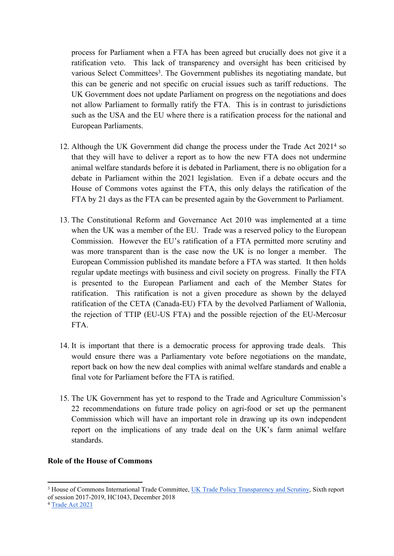process for Parliament when a FTA has been agreed but crucially does not give it a ratification veto. This lack of transparency and oversight has been criticised by various Select Committees<sup>3</sup>. The Government publishes its negotiating mandate, but this can be generic and not specific on crucial issues such as tariff reductions. The UK Government does not update Parliament on progress on the negotiations and does not allow Parliament to formally ratify the FTA. This is in contrast to jurisdictions such as the USA and the EU where there is a ratification process for the national and European Parliaments.

- 12. Although the UK Government did change the process under the Trade Act 2021<sup>4</sup> so that they will have to deliver a report as to how the new FTA does not undermine animal welfare standards before it is debated in Parliament, there is no obligation for a debate in Parliament within the 2021 legislation. Even if a debate occurs and the House of Commons votes against the FTA, this only delays the ratification of the FTA by 21 days as the FTA can be presented again by the Government to Parliament.
- 13. The Constitutional Reform and Governance Act 2010 was implemented at a time when the UK was a member of the EU. Trade was a reserved policy to the European Commission. However the EU's ratification of a FTA permitted more scrutiny and was more transparent than is the case now the UK is no longer a member. The European Commission published its mandate before a FTA was started. It then holds regular update meetings with business and civil society on progress. Finally the FTA is presented to the European Parliament and each of the Member States for ratification. This ratification is not a given procedure as shown by the delayed ratification of the CETA (Canada-EU) FTA by the devolved Parliament of Wallonia, the rejection of TTIP (EU-US FTA) and the possible rejection of the EU-Mercosur FTA.
- 14. It is important that there is a democratic process for approving trade deals. This would ensure there was a Parliamentary vote before negotiations on the mandate, report back on how the new deal complies with animal welfare standards and enable a final vote for Parliament before the FTA is ratified.
- 15. The UK Government has yet to respond to the Trade and Agriculture Commission's 22 recommendations on future trade policy on agri-food or set up the permanent Commission which will have an important role in drawing up its own independent report on the implications of any trade deal on the UK's farm animal welfare standards.

#### **Role of the House of Commons**

<sup>3</sup> House of Commons International Trade Committee, [UK](https://publications.parliament.uk/pa/cm201719/cmselect/cmintrade/1043/1043.pdf) [Trade](https://publications.parliament.uk/pa/cm201719/cmselect/cmintrade/1043/1043.pdf) [Policy](https://publications.parliament.uk/pa/cm201719/cmselect/cmintrade/1043/1043.pdf) [Transparency](https://publications.parliament.uk/pa/cm201719/cmselect/cmintrade/1043/1043.pdf) [and](https://publications.parliament.uk/pa/cm201719/cmselect/cmintrade/1043/1043.pdf) [Scrutiny,](https://publications.parliament.uk/pa/cm201719/cmselect/cmintrade/1043/1043.pdf) Sixth report of session 2017-2019, HC1043, December 2018

<sup>4</sup> [Trade](https://www.legislation.gov.uk/ukpga/2021/10/contents/enacted) [Act](https://www.legislation.gov.uk/ukpga/2021/10/contents/enacted) [2021](https://www.legislation.gov.uk/ukpga/2021/10/contents/enacted)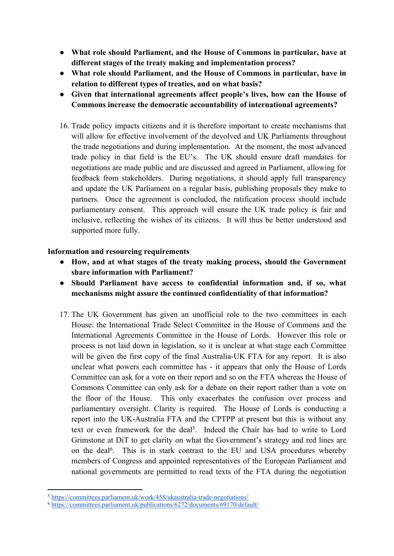- **What role should Parliament, and the House of Commons in particular, have at different stages of the treaty making and implementation process?**
- **What role should Parliament, and the House of Commons in particular, have in relation to different types of treaties, and on what basis?**
- **Given that international agreements affect people's lives, how can the House of Commons increase the democratic accountability of international agreements?**
- 16. Trade policy impacts citizens and it is therefore important to create mechanisms that will allow for effective involvement of the devolved and UK Parliaments throughout the trade negotiations and during implementation. At the moment, the most advanced trade policy in that field is the EU's. The UK should ensure draft mandates for negotiations are made public and are discussed and agreed in Parliament, allowing for feedback from stakeholders. During negotiations, it should apply full transparency and update the UK Parliament on a regular basis, publishing proposals they make to partners. Once the agreement is concluded, the ratification process should include parliamentary consent. This approach will ensure the UK trade policy is fair and inclusive, reflecting the wishes of its citizens. It will thus be better understood and supported more fully.

## **Information and resourcing requirements**

- **How, and at what stages of the treaty making process, should the Government share information with Parliament?**
- **Should Parliament have access to confidential information and, if so, what mechanisms might assure the continued confidentiality of that information?**
- 17. The UK Government has given an unofficial role to the two committees in each House: the International Trade Select Committee in the House of Commons and the International Agreements Committee in the House of Lords. However this role or process is not laid down in legislation, so it is unclear at what stage each Committee will be given the first copy of the final Australia-UK FTA for any report. It is also unclear what powers each committee has - it appears that only the House of Lords Committee can ask for a vote on their report and so on the FTA whereas the House of Commons Committee can only ask for a debate on their report rather than a vote on the floor of the House. This only exacerbates the confusion over process and parliamentary oversight. Clarity is required. The House of Lords is conducting a report into the UK-Australia FTA and the CPTPP at present but this is without any text or even framework for the deal<sup>5</sup>. Indeed the Chair has had to write to Lord Grimstone at DiT to get clarity on what the Government's strategy and red lines are on the deal<sup>6</sup>. This is in stark contrast to the EU and USA procedures whereby members of Congress and appointed representatives of the European Parliament and national governments are permitted to read texts of the FTA during the negotiation

<sup>5</sup> <https://committees.parliament.uk/work/458/ukaustralia-trade-negotiations/>

<sup>6</sup> <https://committees.parliament.uk/publications/6272/documents/69170/default/>